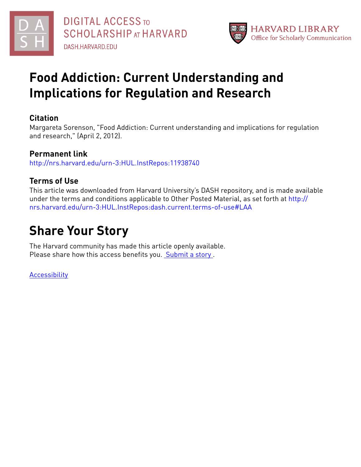



## **Food Addiction: Current Understanding and Implications for Regulation and Research**

## **Citation**

Margareta Sorenson, "Food Addiction: Current understanding and implications for regulation and research," (April 2, 2012).

## **Permanent link**

<http://nrs.harvard.edu/urn-3:HUL.InstRepos:11938740>

## **Terms of Use**

This article was downloaded from Harvard University's DASH repository, and is made available under the terms and conditions applicable to Other Posted Material, as set forth at [http://](http://nrs.harvard.edu/urn-3:HUL.InstRepos:dash.current.terms-of-use#LAA) [nrs.harvard.edu/urn-3:HUL.InstRepos:dash.current.terms-of-use#LAA](http://nrs.harvard.edu/urn-3:HUL.InstRepos:dash.current.terms-of-use#LAA)

## **Share Your Story**

The Harvard community has made this article openly available. Please share how this access benefits you. [Submit](http://osc.hul.harvard.edu/dash/open-access-feedback?handle=&title=Food%20Addiction:%20Current%20Understanding%20and%20Implications%20for%20Regulation%20and%20Research&community=1/7&collection=1/2788313&owningCollection1/2788313&harvardAuthors=931d733636ed250e07e56e8a3b0dacfc&department) a story.

[Accessibility](https://dash.harvard.edu/pages/accessibility)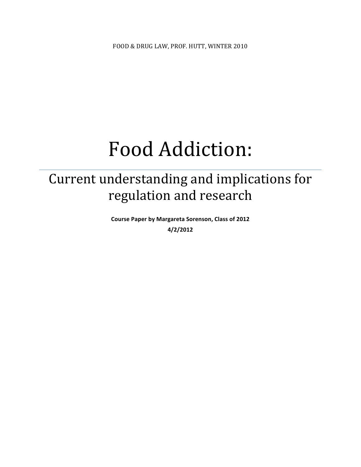# Food Addiction:

## Current understanding and implications for regulation and research

Course Paper by Margareta Sorenson, Class of 2012 **4/2/2012**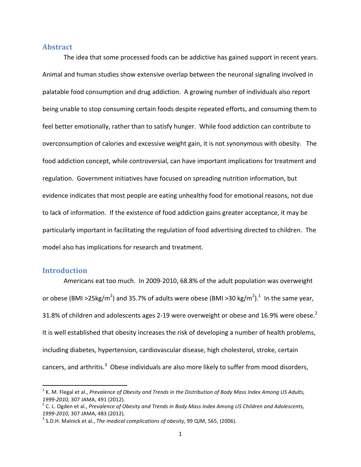## **Abstract**

The idea that some processed foods can be addictive has gained support in recent years. Animal and human studies show extensive overlap between the neuronal signaling involved in palatable food consumption and drug addiction. A growing number of individuals also report being unable to stop consuming certain foods despite repeated efforts, and consuming them to feel better emotionally, rather than to satisfy hunger. While food addiction can contribute to overconsumption of calories and excessive weight gain, it is not synonymous with obesity. The food addiction concept, while controversial, can have important implications for treatment and regulation. Government initiatives have focused on spreading nutrition information, but evidence indicates that most people are eating unhealthy food for emotional reasons, not due to lack of information. If the existence of food addiction gains greater acceptance, it may be particularly important in facilitating the regulation of food advertising directed to children. The model also has implications for research and treatment.

## **Introduction**

!!!!!!!!!!!!!!!!!!!!!!!!!!!!!!!!!!!!!!!!!!!!!!!!!!!!!!!!!!!!

Americans eat too much. In 2009-2010, 68.8% of the adult population was overweight or obese (BMI >25kg/m<sup>2</sup>) and 35.7% of adults were obese (BMI >30 kg/m<sup>2</sup>).<sup>1</sup> In the same year, 31.8% of children and adolescents ages 2-19 were overweight or obese and 16.9% were obese.<sup>2</sup> It is well established that obesity increases the risk of developing a number of health problems, including diabetes, hypertension, cardiovascular disease, high cholesterol, stroke, certain cancers, and arthritis.<sup>3</sup> Obese individuals are also more likely to suffer from mood disorders,

<sup>&</sup>lt;sup>1</sup> K. M. Flegal et al., *Prevalence of Obesity and Trends in the Distribution of Body Mass Index Among US Adults,* 1999-2010, 307 JAMA, 491 (2012).<br><sup>2</sup> C. L. Ogden et al., *Prevalence of Obesity and Trends in Body Mass Index Among US Children and Adolescents,* 

*<sup>1999-2010,</sup>* 307 JAMA, 483 (2012). *3 S.D.H. 2010). 3 S.D.H. Malnick et al., 7he medical complications of obesity, 99 QJM, 565, (2006).*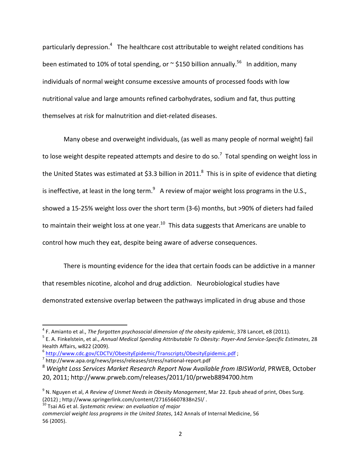particularly depression.<sup>4</sup> The healthcare cost attributable to weight related conditions has been estimated to 10% of total spending, or  $\sim$  \$150 billion annually.<sup>56</sup> In addition, many individuals of normal weight consume excessive amounts of processed foods with low nutritional value and large amounts refined carbohydrates, sodium and fat, thus putting themselves at risk for malnutrition and diet-related diseases.

Many obese and overweight individuals, (as well as many people of normal weight) fail to lose weight despite repeated attempts and desire to do so.<sup>7</sup> Total spending on weight loss in the United States was estimated at \$3.3 billion in 2011.<sup>8</sup> This is in spite of evidence that dieting is ineffective, at least in the long term. $^9$  A review of major weight loss programs in the U.S., showed a 15-25% weight loss over the short term (3-6) months, but >90% of dieters had failed to maintain their weight loss at one year. $^{10}$  This data suggests that Americans are unable to control how much they eat, despite being aware of adverse consequences.

There is mounting evidence for the idea that certain foods can be addictive in a manner that resembles nicotine, alcohol and drug addiction. Neurobiological studies have demonstrated extensive overlap between the pathways implicated in drug abuse and those

<sup>10</sup> Tsai AG et al. *Systematic review: an evaluation of major* 

<sup>&</sup>lt;sup>4</sup> F. Amianto et al., *The forgotten psychosocial dimension of the obesity epidemic*, 378 Lancet, e8 (2011).<br><sup>5</sup> E. A. Finkelstein, et al., Annual Medical Spending Attributable To Obesity: Payer-And Service-Specific Esti Health Affairs, w822 (2009).

 $\frac{6}{7}$  http://www.cdc.gov/CDCTV/ObesityEpidemic/Transcripts/ObesityEpidemic.pdf ;<br> $\frac{7}{7}$  http://www.apa.org/news/press/releases/stress/national-report.pdf

<sup>&</sup>lt;sup>8</sup> Weight Loss Services Market Research Report Now Available from IBISWorld, PRWEB, October 20, 2011; http://www.prweb.com/releases/2011/10/prweb8894700.htm

<sup>&</sup>lt;sup>9</sup> N. Nguyen et al, *A Review of Unmet Needs in Obesity Management*, Mar 22. Epub ahead of print, Obes Surg. (2012); http://www.springerlink.com/content/271656607838n25l/.

commercial weight loss programs in the United States, 142 Annals of Internal Medicine, 56 56!(2005).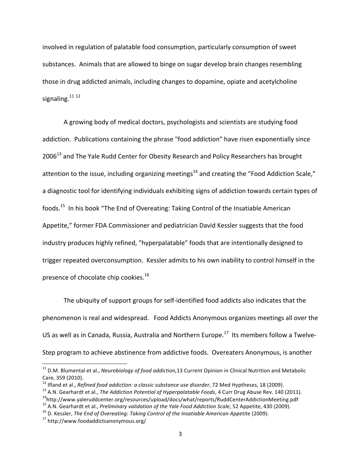involved in regulation of palatable food consumption, particularly consumption of sweet substances. Animals that are allowed to binge on sugar develop brain changes resembling those in drug addicted animals, including changes to dopamine, opiate and acetylcholine signaling. $1112$ 

A growing body of medical doctors, psychologists and scientists are studying food addiction. Publications containing the phrase "food addiction" have risen exponentially since  $2006<sup>13</sup>$  and The Yale Rudd Center for Obesity Research and Policy Researchers has brought attention to the issue, including organizing meetings<sup>14</sup> and creating the "Food Addiction Scale," a diagnostic tool for identifying individuals exhibiting signs of addiction towards certain types of foods.<sup>15</sup> In his book "The End of Overeating: Taking Control of the Insatiable American Appetite," former FDA Commissioner and pediatrician David Kessler suggests that the food industry produces highly refined, "hyperpalatable" foods that are intentionally designed to trigger repeated overconsumption. Kessler admits to his own inability to control himself in the presence of chocolate chip cookies.<sup>16</sup>

The ubiquity of support groups for self-identified food addicts also indicates that the phenomenon is real and widespread. Food Addicts Anonymous organizes meetings all over the US as well as in Canada, Russia, Australia and Northern Europe.<sup>17</sup> Its members follow a Twelve-Step program to achieve abstinence from addictive foods. Overeaters Anonymous, is another

12 Ifland et al., *Refined food addiction: a classic substance use disorder*, 72 Med Hyptheses, 18 (2009).<br><sup>13</sup> A.N. Gearhardt et al., *The Addiction Potential of Hyperpalatable Foods*, 4 Curr Drug Abuse Rev. 140 (2011).<br><sup></sup>

<sup>&</sup>lt;sup>11</sup> D.M. Blumental et al., *Neurobiology of food addiction*,13 Current Opinion in Clinical Nutrition and Metabolic Care, 359 (2010).

<sup>&</sup>lt;sup>15</sup> A.N. Gearhardt et al., *Preliminary validation of the Yale Food Addiction Scale*, 52 Appetite, 430 (2009).<br><sup>16</sup> D. Kessler, *The End of Overeating: Taking Control of the Insatiable American Appetite* (2009).<br><sup>17</sup> htt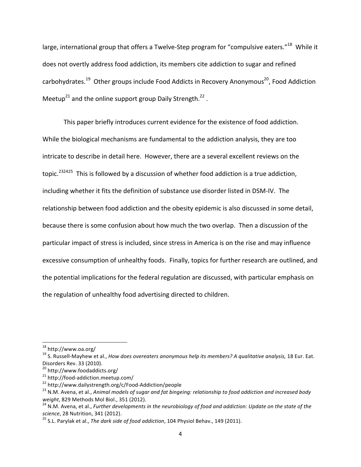large, international group that offers a Twelve-Step program for "compulsive eaters."<sup>18</sup> While it does not overtly address food addiction, its members cite addiction to sugar and refined carbohydrates.<sup>19</sup> Other groups include Food Addicts in Recovery Anonymous<sup>20</sup>, Food Addiction Meetup<sup>21</sup> and the online support group Daily Strength.<sup>22</sup>.

This paper briefly introduces current evidence for the existence of food addiction. While the biological mechanisms are fundamental to the addiction analysis, they are too intricate to describe in detail here. However, there are a several excellent reviews on the topic.<sup>232425</sup> This is followed by a discussion of whether food addiction is a true addiction, including whether it fits the definition of substance use disorder listed in DSM-IV. The relationship between food addiction and the obesity epidemic is also discussed in some detail, because there is some confusion about how much the two overlap. Then a discussion of the particular impact of stress is included, since stress in America is on the rise and may influence excessive consumption of unhealthy foods. Finally, topics for further research are outlined, and the potential implications for the federal regulation are discussed, with particular emphasis on the regulation of unhealthy food advertising directed to children.

<sup>&</sup>lt;sup>18</sup> http://www.oa.org/<br><sup>19</sup> S. Russell-Mayhew et al., *How does overeaters anonymous help its members? A qualitative analysis, 18 Eur. Eat.* Disorders Rev. 33 (2010).

<sup>&</sup>lt;sup>20</sup> http://www.foodaddicts.org/<br><sup>21</sup> http://food-addiction.meetup.com/<br><sup>22</sup> http://www.dailystrength.org/c/Food-Addiction/people<br><sup>23</sup> N.M. Avena, et al., *Animal models of sugar and fat bingeing: relationship to food addi weight*, 829 Methods Mol Biol., 351 (2012). *24* M.M. *Purightyder and addiction: Update on the state of the*<br><sup>24</sup> N.M. Avena, et al., *Further developments in the neurobiology of food and addiction: Update on the state o* 

*science*, 28 Nutrition, 341 (2012). 25 S.L. Parylak et al., *The dark side of food addiction*, 104 Physiol Behav., 149 (2011).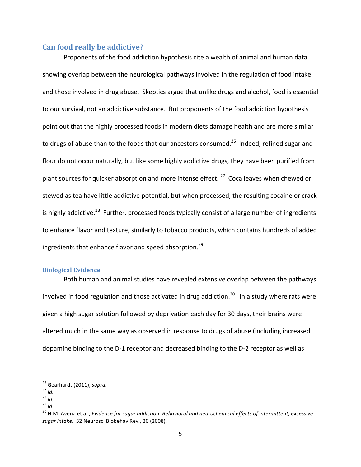## **Can food really be addictive?**

Proponents of the food addiction hypothesis cite a wealth of animal and human data showing overlap between the neurological pathways involved in the regulation of food intake and those involved in drug abuse. Skeptics argue that unlike drugs and alcohol, food is essential to our survival, not an addictive substance. But proponents of the food addiction hypothesis point out that the highly processed foods in modern diets damage health and are more similar to drugs of abuse than to the foods that our ancestors consumed.<sup>26</sup> Indeed, refined sugar and flour do not occur naturally, but like some highly addictive drugs, they have been purified from plant sources for quicker absorption and more intense effect.<sup>27</sup> Coca leaves when chewed or stewed as tea have little addictive potential, but when processed, the resulting cocaine or crack is highly addictive.<sup>28</sup> Further, processed foods typically consist of a large number of ingredients to enhance flavor and texture, similarly to tobacco products, which contains hundreds of added ingredients that enhance flavor and speed absorption.<sup>29</sup>

## **Biological Evidence**

Both human and animal studies have revealed extensive overlap between the pathways involved in food regulation and those activated in drug addiction.<sup>30</sup> In a study where rats were given a high sugar solution followed by deprivation each day for 30 days, their brains were altered much in the same way as observed in response to drugs of abuse (including increased dopamine binding to the D-1 receptor and decreased binding to the D-2 receptor as well as

<sup>&</sup>lt;sup>26</sup> Gearhardt (2011), *supra*.<br><sup>27</sup> *Id.*<br><sup>28</sup> *Id.* 29 *Id.* 30 N.M. Avena et al., *Evidence for sugar addiction: Behavioral and neurochemical effects of intermittent, excessive* sugar intake. 32 Neurosci Biobehav Rev., 20 (2008).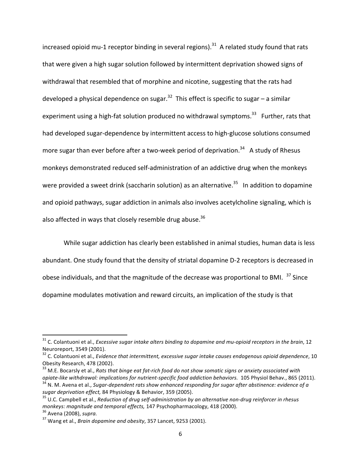increased opioid mu-1 receptor binding in several regions).<sup>31</sup> A related study found that rats that were given a high sugar solution followed by intermittent deprivation showed signs of withdrawal that resembled that of morphine and nicotine, suggesting that the rats had developed a physical dependence on sugar.<sup>32</sup> This effect is specific to sugar – a similar experiment using a high-fat solution produced no withdrawal symptoms.<sup>33</sup> Further, rats that had developed sugar-dependence by intermittent access to high-glucose solutions consumed more sugar than ever before after a two-week period of deprivation.<sup>34</sup> A study of Rhesus monkeys demonstrated reduced self-administration of an addictive drug when the monkeys were provided a sweet drink (saccharin solution) as an alternative.<sup>35</sup> In addition to dopamine and opioid pathways, sugar addiction in animals also involves acetylcholine signaling, which is also affected in ways that closely resemble drug abuse. $36$ 

While sugar addiction has clearly been established in animal studies, human data is less abundant. One study found that the density of striatal dopamine D-2 receptors is decreased in obese individuals, and that the magnitude of the decrease was proportional to BMI.  $37$  Since dopamine modulates motivation and reward circuits, an implication of the study is that

<sup>&</sup>lt;sup>31</sup> C. Colantuoni et al., *Excessive sugar intake alters binding to dopamine and mu-opioid receptors in the brain, 12* Neuroreport, 3549 (2001).

<sup>&</sup>lt;sup>32</sup> C. Colantuoni et al., *Evidence that intermittent, excessive sugar intake causes endogenous opioid dependence*, 10 Obesity Research, 478 (2002).

<sup>&</sup>lt;sup>33</sup> M.E. Bocarsly et al., *Rats that binge eat fat-rich food do not show somatic signs or anxiety associated with* 

opiate-like withdrawal: implications for nutrient-specific food addiction behaviors. 105 Physiol Behav., 865 (2011).<br><sup>34</sup> N. M. Avena et al., Sugar-dependent rats show enhanced responding for sugar after abstinence: eviden *sugar deprivation effect,* 84 Physiology & Behavior, 359 (2005). <sup>35</sup> U.C. Campbell et al., *Reduction of drug* ethnistration by an alternative non-drug reinforcer in rhesus

*monkeys: magnitude and temporal effects,* 147 Psychopharmacology, 418 (2000). <sup>36</sup> Avena (2008), *supra. 37* Wang et al., *Brain dopamine and obesity*, 357 Lancet, 9253 (2001).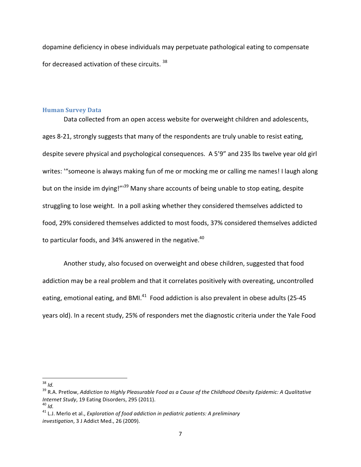dopamine deficiency in obese individuals may perpetuate pathological eating to compensate for decreased activation of these circuits.  $38$ 

#### **Human Survey Data**

Data collected from an open access website for overweight children and adolescents, ages 8-21, strongly suggests that many of the respondents are truly unable to resist eating, despite severe physical and psychological consequences. A 5'9" and 235 lbs twelve year old girl writes: "someone is always making fun of me or mocking me or calling me names! I laugh along but on the inside im dying!"<sup>39</sup> Many share accounts of being unable to stop eating, despite struggling to lose weight. In a poll asking whether they considered themselves addicted to food, 29% considered themselves addicted to most foods, 37% considered themselves addicted to particular foods, and 34% answered in the negative.<sup>40</sup>

Another study, also focused on overweight and obese children, suggested that food addiction may be a real problem and that it correlates positively with overeating, uncontrolled eating, emotional eating, and BMI.<sup>41</sup> Food addiction is also prevalent in obese adults (25-45 years old). In a recent study, 25% of responders met the diagnostic criteria under the Yale Food

<sup>&</sup>lt;sup>39</sup> R.A. Pretlow, *Addiction to Highly Pleasurable Food as a Cause of the Childhood Obesity Epidemic: A Qualitative Internet Study*, 19 Eating Disorders, 295 (2011).<br><sup>40</sup> *Id. Ald. And.* 41 *L.J. Exploration of food addiction in pediatric patients: A preliminary* 

*investigation*, 3 J Addict Med., 26 (2009).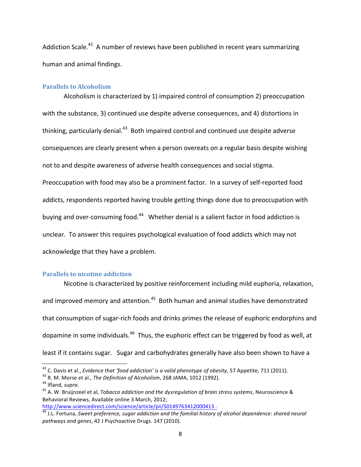Addiction Scale.<sup>42</sup> A number of reviews have been published in recent years summarizing human and animal findings.

#### **Parallels to Alcoholism**

Alcoholism is characterized by 1) impaired control of consumption 2) preoccupation with the substance, 3) continued use despite adverse consequences, and 4) distortions in thinking, particularly denial. $43$  Both impaired control and continued use despite adverse consequences are clearly present when a person overeats on a regular basis despite wishing not to and despite awareness of adverse health consequences and social stigma. Preoccupation with food may also be a prominent factor. In a survey of self-reported food addicts, respondents reported having trouble getting things done due to preoccupation with buying and over-consuming food.<sup>44</sup> Whether denial is a salient factor in food addiction is unclear. To answer this requires psychological evaluation of food addicts which may not acknowledge that they have a problem.

### **Parallels to nicotine addiction**

!!!!!!!!!!!!!!!!!!!!!!!!!!!!!!!!!!!!!!!!!!!!!!!!!!!!!!!!!!!!

Nicotine is characterized by positive reinforcement including mild euphoria, relaxation, and improved memory and attention.<sup>45</sup> Both human and animal studies have demonstrated that consumption of sugar-rich foods and drinks primes the release of euphoric endorphins and dopamine in some individuals.<sup>46</sup> Thus, the euphoric effect can be triggered by food as well, at least if it contains sugar. Sugar and carbohydrates generally have also been shown to have a

<sup>&</sup>lt;sup>42</sup> C. Davis et al., *Evidence that 'food addiction' is a valid phenotype of obesity*, 57 Appetite, 711 (2011).<br><sup>43</sup> R. M. Morse et al., *The Definition of Alcoholism*, 268 JAMA, 1012 (1992).<br><sup>44</sup> Ifland, *supra*.<br><sup>45</sup> A

Behavioral Reviews, Available online 3 March, 2012;<br>http://www.sciencedirect.com/science/article/pii/S0149763412000413.

http://<del>www.sciencedirect.com/science/article/pii/S014</del>344120120004344120004341200043441200004354120000000000000<br><sup>46</sup> J.L. Fortuna, *Sweet preference, sugar addiction and the familial history of alcohol dependence: shared* pathways and genes, 42 J Psychoactive Drugs. 147 (2010).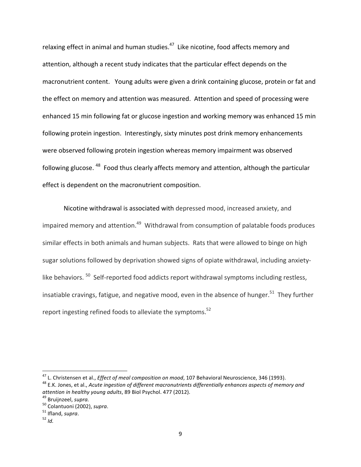relaxing effect in animal and human studies. $47$  Like nicotine, food affects memory and attention, although a recent study indicates that the particular effect depends on the macronutrient content. Young adults were given a drink containing glucose, protein or fat and the effect on memory and attention was measured. Attention and speed of processing were enhanced 15 min following fat or glucose ingestion and working memory was enhanced 15 min following protein ingestion. Interestingly, sixty minutes post drink memory enhancements were observed following protein ingestion whereas memory impairment was observed following glucose.<sup>48</sup> Food thus clearly affects memory and attention, although the particular effect is dependent on the macronutrient composition.

Nicotine withdrawal is associated with depressed mood, increased anxiety, and impaired memory and attention. $49$  Withdrawal from consumption of palatable foods produces similar effects in both animals and human subjects. Rats that were allowed to binge on high sugar solutions followed by deprivation showed signs of opiate withdrawal, including anxietylike behaviors.  $50$  Self-reported food addicts report withdrawal symptoms including restless, insatiable cravings, fatigue, and negative mood, even in the absence of hunger.<sup>51</sup> They further report ingesting refined foods to alleviate the symptoms.<sup>52</sup>

<sup>&</sup>lt;sup>47</sup> L. Christensen et al., *Effect of meal composition on mood*, 107 Behavioral Neuroscience, 346 (1993).<br><sup>48</sup> E.K. Jones, et al., Acute ingestion of different macronutrients differentially enhances aspects of memory and

*attention in healthy young adults*, 89 Biol Psychol. 477 (2012).<br><sup>49</sup> Bruijnzeel, *supra.*<br><sup>50</sup> Colantuoni (2002), *supra*.<br><sup>51</sup> Ifland, *supra*. <sup>52</sup> *Id*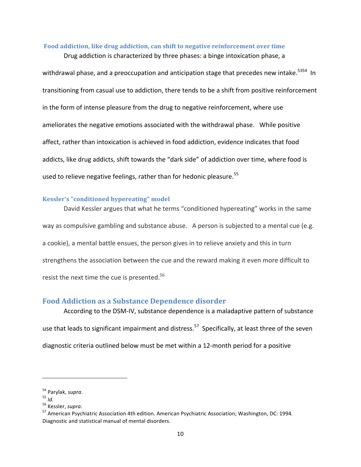### **Food addiction, like drug addiction, can shift to negative reinforcement over time**

Drug addiction is characterized by three phases: a binge intoxication phase, a

withdrawal phase, and a preoccupation and anticipation stage that precedes new intake.<sup>5354</sup> In transitioning from casual use to addiction, there tends to be a shift from positive reinforcement in the form of intense pleasure from the drug to negative reinforcement, where use ameliorates the negative emotions associated with the withdrawal phase. While positive affect, rather than intoxication is achieved in food addiction, evidence indicates that food addicts, like drug addicts, shift towards the "dark side" of addiction over time, where food is used to relieve negative feelings, rather than for hedonic pleasure.<sup>55</sup>

## **Kessler's "conditioned hypereating" model**

David Kessler argues that what he terms "conditioned hypereating" works in the same way as compulsive gambling and substance abuse. A person is subjected to a mental cue (e.g. a cookie), a mental battle ensues, the person gives in to relieve anxiety and this in turn strengthens the association between the cue and the reward making it even more difficult to resist the next time the cue is presented. $56$ 

## **Food Addiction as a Substance Dependence disorder**

According to the DSM-IV, substance dependence is a maladaptive pattern of substance use that leads to significant impairment and distress.<sup>57</sup> Specifically, at least three of the seven diagnostic criteria outlined below must be met within a 12-month period for a positive

<sup>&</sup>lt;sup>54</sup> Parylak, *supra*.<br><sup>55</sup> *Id.*<br><sup>56</sup> Kessler, *supra*.<br><sup>57</sup> American Psychiatric Association 4th edition. American Psychiatric Association; Washington, DC: 1994. Diagnostic and statistical manual of mental disorders.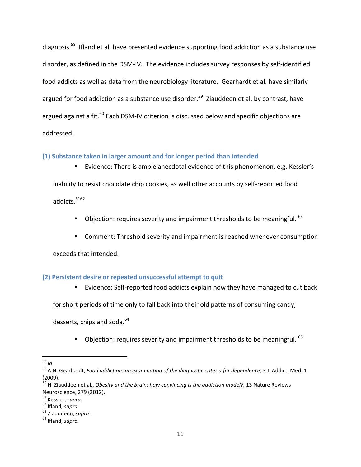diagnosis.<sup>58</sup> Ifland et al. have presented evidence supporting food addiction as a substance use disorder, as defined in the DSM-IV. The evidence includes survey responses by self-identified food addicts as well as data from the neurobiology literature. Gearhardt et al. have similarly argued for food addiction as a substance use disorder.<sup>59</sup> Ziauddeen et al. by contrast, have argued against a fit. $^{60}$  Each DSM-IV criterion is discussed below and specific objections are addressed.

## **(1)'Substance'taken'in'larger amount'and'for'longer'period'than'intended**

• Evidence: There is ample anecdotal evidence of this phenomenon, e.g. Kessler's inability to resist chocolate chip cookies, as well other accounts by self-reported food addicts. $6162$ 

- Objection: requires severity and impairment thresholds to be meaningful.  $63$
- Comment: Threshold severity and impairment is reached whenever consumption

exceeds that intended.

## **(2) Persistent desire or repeated unsuccessful attempt to quit**

• Evidence: Self-reported food addicts explain how they have managed to cut back

for short periods of time only to fall back into their old patterns of consuming candy,

desserts, chips and soda. $64$ 

• Objection: requires severity and impairment thresholds to be meaningful.  $65$ 

<sup>!!!!!!!!!!!!!!!!!!!!!!!!!!!!!!!!!!!!!!!!!!!!!!!!!!!!!!!!!!!!</sup>

<sup>&</sup>lt;sup>58</sup> Id.<br><sup>59</sup> A.N. Gearhardt, *Food addiction: an examination of the diagnostic criteria for dependence, 3 J. Addict. Med. 1* (2009).

<sup>&</sup>lt;sup>60</sup> H. Ziauddeen et al., *Obesity and the brain: how convincing is the addiction model?, 13 Nature Reviews* Neuroscience, 279 (2012).<br><sup>61</sup> Kessler, *supra.* 

<sup>&</sup>lt;sup>62</sup> Ifland, *supra.* 63 Ziauddeen, *supra.* 64 Ifland, *supra.*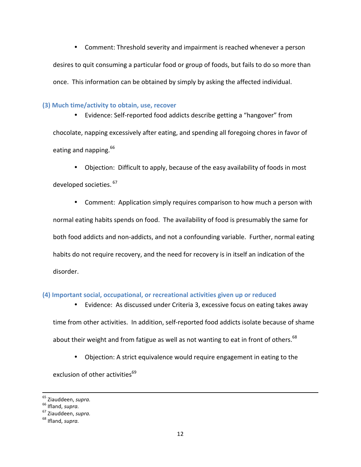• Comment: Threshold severity and impairment is reached whenever a person desires to quit consuming a particular food or group of foods, but fails to do so more than once. This information can be obtained by simply by asking the affected individual.

## **(3) Much time/activity to obtain, use, recover**

• Evidence: Self-reported food addicts describe getting a "hangover" from chocolate, napping excessively after eating, and spending all foregoing chores in favor of eating and napping.  $66$ 

• Objection: Difficult to apply, because of the easy availability of foods in most developed societies. 67

• Comment: Application simply requires comparison to how much a person with normal eating habits spends on food. The availability of food is presumably the same for both food addicts and non-addicts, and not a confounding variable. Further, normal eating habits do not require recovery, and the need for recovery is in itself an indication of the disorder.

## (4) Important social, occupational, or recreational activities given up or reduced

• Evidence: As discussed under Criteria 3, excessive focus on eating takes away time from other activities. In addition, self-reported food addicts isolate because of shame about their weight and from fatigue as well as not wanting to eat in front of others.<sup>68</sup>

• Objection: A strict equivalence would require engagement in eating to the

exclusion of other activities<sup>69</sup>

!!!!!!!!!!!!!!!!!!!!!!!!!!!!!!!!!!!!!!!!!!!!!!!!!!!!!!!!!!!!!!!!!!!!!!!!!!!!!!!!!!!!!!!!!!!!!!!!!!!!!!!!!!!!!!!!!!!!!!!!!!!!!!!!!!!!!!!!!!!!!!!!!!!!!!!!!!!!!!!!!!!!!!!!!!!!!!!!!!!!!!!!!!!!!!!!!!!

<sup>&</sup>lt;sup>65</sup> Ziauddeen, *supra.* <sup>66</sup> Ifland, *supra.* 67 Ziauddeen, *supra.* 68 Ifland, *supra.*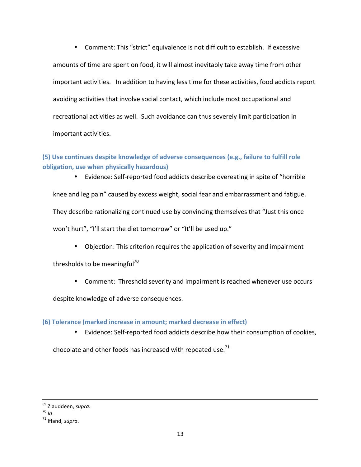• Comment: This "strict" equivalence is not difficult to establish. If excessive amounts of time are spent on food, it will almost inevitably take away time from other important activities. In addition to having less time for these activities, food addicts report avoiding activities that involve social contact, which include most occupational and recreational activities as well. Such avoidance can thus severely limit participation in important activities.

## **(5)'Use'continues'despite'knowledge'of'adverse'consequences'(e.g.,'failure'to'fulfill'role' obligation,'use'when'physically'hazardous)**

• Evidence: Self-reported food addicts describe overeating in spite of "horrible"

knee and leg pain" caused by excess weight, social fear and embarrassment and fatigue.

They describe rationalizing continued use by convincing themselves that "Just this once

won't hurt", "I'll start the diet tomorrow" or "It'll be used up."

• Objection: This criterion requires the application of severity and impairment

thresholds to be meaningful<sup>70</sup>

• Comment: Threshold severity and impairment is reached whenever use occurs

despite knowledge of adverse consequences.

## **(6)'Tolerance'(marked'increase'in'amount;'marked'decrease'in'effect)**

• Evidence: Self-reported food addicts describe how their consumption of cookies,

chocolate and other foods has increased with repeated use. $71$ 

!!!!!!!!!!!!!!!!!!!!!!!!!!!!!!!!!!!!!!!!!!!!!!!!!!!!!!!!!!!!!!!!!!!!!!!!!!!!!!!!!!!!!!!!!!!!!!!!!!!!!!!!!!!!!!!!!!!!!!!!!!!!!!!!!!!!!!!!!!!!!!!!!!!!!!!!!!!!!!!!!!!!!!!!!!!!!!!!!!!!!!!!!!!!!!!!!!!

<sup>69</sup> Ziauddeen,!*supra.* <sup>70</sup> *Id.* <sup>71</sup> Ifland,!*supra*.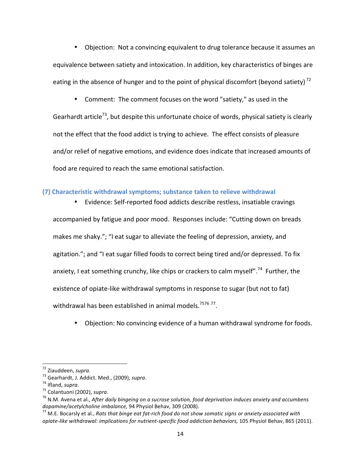• Objection: Not a convincing equivalent to drug tolerance because it assumes an equivalence between satiety and intoxication. In addition, key characteristics of binges are eating in the absence of hunger and to the point of physical discomfort (beyond satiety)<sup>72</sup>

• Comment: The comment focuses on the word "satiety," as used in the

Gearhardt article<sup>73</sup>, but despite this unfortunate choice of words, physical satiety is clearly not the effect that the food addict is trying to achieve. The effect consists of pleasure and/or relief of negative emotions, and evidence does indicate that increased amounts of food are required to reach the same emotional satisfaction.

## **(7)'Characteristic'withdrawal'symptoms;'substance'taken'to'relieve'withdrawal**

• Evidence: Self-reported food addicts describe restless, insatiable cravings accompanied by fatigue and poor mood. Responses include: "Cutting down on breads makes me shaky."; "I eat sugar to alleviate the feeling of depression, anxiety, and agitation."; and "I eat sugar filled foods to correct being tired and/or depressed. To fix anxiety, I eat something crunchy, like chips or crackers to calm myself".<sup>74</sup> Further, the existence of opiate-like withdrawal symptoms in response to sugar (but not to fat) withdrawal has been established in animal models.<sup>7576 77</sup>.

Objection: No convincing evidence of a human withdrawal syndrome for foods.

<sup>&</sup>lt;sup>72</sup> Ziauddeen, supra.<br><sup>73</sup> Gearhardt, J. Addict. Med., (2009), supra.<br><sup>74</sup> Ifland, supra.<br><sup>75</sup> Colantuoni (2002), supra.<br><sup>75</sup> N.M. Avena et al., After daily bingeing on a sucrose solution, food deprivation induces anxiety

<sup>&</sup>lt;sup>77</sup> M.E. Bocarsly et al., Rats that binge eat fat-rich food do not show somatic signs or anxiety associated with *opiate-like withdrawal: implications for nutrient-specific food addiction behaviors, 105 Physiol Behav, 865 (2011).*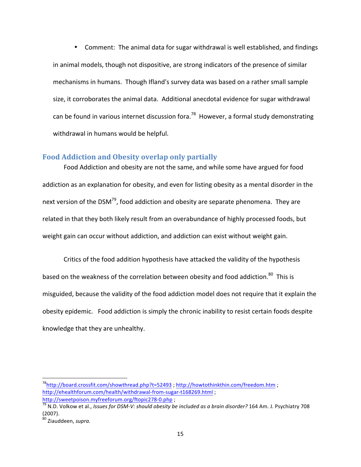• Comment: The animal data for sugar withdrawal is well established, and findings in animal models, though not dispositive, are strong indicators of the presence of similar mechanisms in humans. Though Ifland's survey data was based on a rather small sample size, it corroborates the animal data. Additional anecdotal evidence for sugar withdrawal can be found in various internet discussion fora.<sup>78</sup> However, a formal study demonstrating withdrawal in humans would be helpful.

## **Food Addiction and Obesity overlap only partially**

Food Addiction and obesity are not the same, and while some have argued for food addiction as an explanation for obesity, and even for listing obesity as a mental disorder in the next version of the DSM<sup>79</sup>, food addiction and obesity are separate phenomena. They are related in that they both likely result from an overabundance of highly processed foods, but weight gain can occur without addiction, and addiction can exist without weight gain.

Critics of the food addition hypothesis have attacked the validity of the hypothesis based on the weakness of the correlation between obesity and food addiction.<sup>80</sup> This is misguided, because the validity of the food addiction model does not require that it explain the obesity epidemic. Food addiction is simply the chronic inability to resist certain foods despite knowledge that they are unhealthy.

 $^{78}$ http://board.crossfit.com/showthread.php?t=52493 ; http://howtothinkthin.com/freedom.htm ; http://ehealthforum.com/health/withdrawal-from-sugar-t168269.html;

http://sweetpoison.myfreeforum.org/ftopic278-0.php ;<br><sup>79</sup> N.D. Volkow et al., *Issues for DSM-V: should obesity be included as a brain disorder?* 164 Am. J. Psychiatry 708 (2007).

<sup>&</sup>lt;sup>80</sup> Ziauddeen, supra.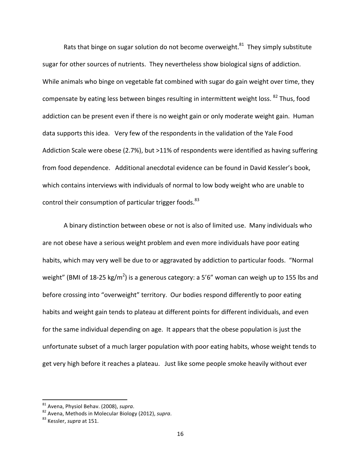Rats that binge on sugar solution do not become overweight.<sup>81</sup> They simply substitute sugar for other sources of nutrients. They nevertheless show biological signs of addiction. While animals who binge on vegetable fat combined with sugar do gain weight over time, they compensate by eating less between binges resulting in intermittent weight loss. <sup>82</sup> Thus, food addiction can be present even if there is no weight gain or only moderate weight gain. Human data supports this idea. Very few of the respondents in the validation of the Yale Food Addiction Scale were obese (2.7%), but >11% of respondents were identified as having suffering from food dependence. Additional anecdotal evidence can be found in David Kessler's book, which contains interviews with individuals of normal to low body weight who are unable to control their consumption of particular trigger foods. $83$ 

A binary distinction between obese or not is also of limited use. Many individuals who are not obese have a serious weight problem and even more individuals have poor eating habits, which may very well be due to or aggravated by addiction to particular foods. "Normal weight" (BMI of 18-25 kg/m<sup>2</sup>) is a generous category: a 5'6" woman can weigh up to 155 lbs and before crossing into "overweight" territory. Our bodies respond differently to poor eating habits and weight gain tends to plateau at different points for different individuals, and even for the same individual depending on age. It appears that the obese population is just the unfortunate subset of a much larger population with poor eating habits, whose weight tends to get very high before it reaches a plateau. Just like some people smoke heavily without ever

<sup>&</sup>lt;sup>81</sup> Avena, Physiol Behav. (2008), supra.

<sup>&</sup>lt;sup>82</sup> Avena, Methods in Molecular Biology (2012), *supra*. <sup>83</sup> Kessler. *supra* at 151.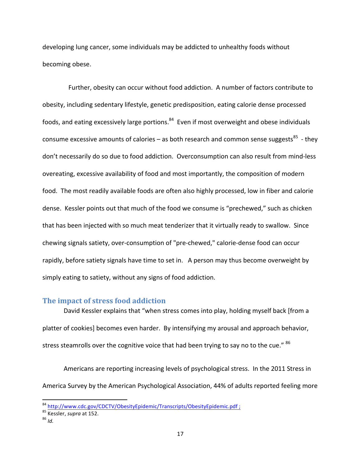developing lung cancer, some individuals may be addicted to unhealthy foods without becoming obese.

Further, obesity can occur without food addiction. A number of factors contribute to obesity, including sedentary lifestyle, genetic predisposition, eating calorie dense processed foods, and eating excessively large portions. $^{84}$  Even if most overweight and obese individuals consume excessive amounts of calories – as both research and common sense suggests<sup>85</sup> - they don't necessarily do so due to food addiction. Overconsumption can also result from mind-less overeating, excessive availability of food and most importantly, the composition of modern food. The most readily available foods are often also highly processed, low in fiber and calorie dense. Kessler points out that much of the food we consume is "prechewed," such as chicken that has been injected with so much meat tenderizer that it virtually ready to swallow. Since chewing signals satiety, over-consumption of "pre-chewed," calorie-dense food can occur rapidly, before satiety signals have time to set in. A person may thus become overweight by simply eating to satiety, without any signs of food addiction.

## **The impact of stress food addiction**

David Kessler explains that "when stress comes into play, holding myself back [from a platter of cookies] becomes even harder. By intensifying my arousal and approach behavior, stress steamrolls over the cognitive voice that had been trying to say no to the cue." <sup>86</sup>

Americans are reporting increasing levels of psychological stress. In the 2011 Stress in America Survey by the American Psychological Association, 44% of adults reported feeling more

<sup>&</sup>lt;sup>84</sup> http://www.cdc.gov/CDCTV/ObesityEpidemic/Transcripts/ObesityEpidemic.pdf ;<br><sup>85</sup> Kessler, *supra* at 152.<br><sup>86</sup> *Id.*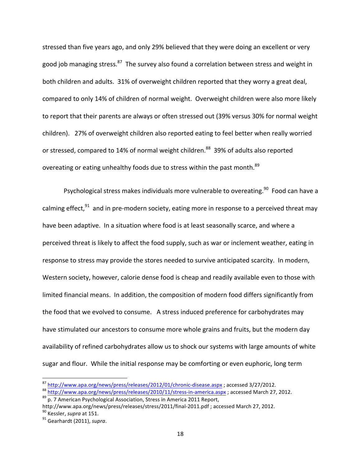stressed than five years ago, and only 29% believed that they were doing an excellent or very good job managing stress.<sup>87</sup> The survey also found a correlation between stress and weight in both children and adults. 31% of overweight children reported that they worry a great deal, compared to only 14% of children of normal weight. Overweight children were also more likely to report that their parents are always or often stressed out (39% versus 30% for normal weight children). 27% of overweight children also reported eating to feel better when really worried or stressed, compared to 14% of normal weight children.<sup>88</sup> 39% of adults also reported overeating or eating unhealthy foods due to stress within the past month.<sup>89</sup>

Psychological stress makes individuals more vulnerable to overeating.<sup>90</sup> Food can have a calming effect,<sup>91</sup> and in pre-modern society, eating more in response to a perceived threat may have been adaptive. In a situation where food is at least seasonally scarce, and where a perceived threat is likely to affect the food supply, such as war or inclement weather, eating in response to stress may provide the stores needed to survive anticipated scarcity. In modern, Western society, however, calorie dense food is cheap and readily available even to those with limited financial means. In addition, the composition of modern food differs significantly from the food that we evolved to consume. A stress induced preference for carbohydrates may have stimulated our ancestors to consume more whole grains and fruits, but the modern day availability of refined carbohydrates allow us to shock our systems with large amounts of white sugar and flour. While the initial response may be comforting or even euphoric, long term

 $\frac{\text{87}}{\text{http://www.apa.org/news/press/releases/2012/01/chronic-disease.aspx}}$ ; accessed 3/27/2012.<br>  $\frac{\text{88}}{\text{http://www.apa.org/news/press/releases/2010/11/stress-in-america.aspx}}$ ; accessed March 27, 2012.<br>  $\frac{\text{89}}{\text{p}}$ , 7 American Psychological Association, Stress in America 2011 Report

http://www.apa.org/news/press/releases/stress/2011/final-2011.pdf ; accessed March 27, 2012.<br><sup>90</sup> Kessler, *supra* at 151. *porta.* 91 Gearhardt (2011), *supra*.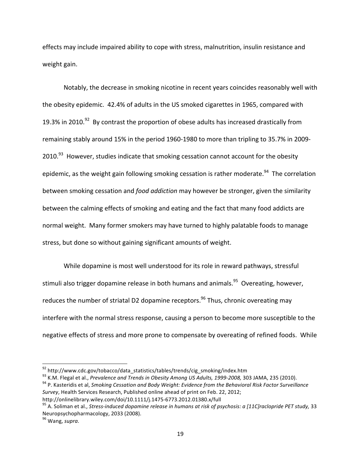effects may include impaired ability to cope with stress, malnutrition, insulin resistance and weight gain.

Notably, the decrease in smoking nicotine in recent years coincides reasonably well with the obesity epidemic. 42.4% of adults in the US smoked cigarettes in 1965, compared with 19.3% in 2010.<sup>92</sup> By contrast the proportion of obese adults has increased drastically from remaining stably around 15% in the period 1960-1980 to more than tripling to 35.7% in 2009-2010.<sup>93</sup> However, studies indicate that smoking cessation cannot account for the obesity epidemic, as the weight gain following smoking cessation is rather moderate.<sup>94</sup> The correlation between smoking cessation and *food addiction* may however be stronger, given the similarity between the calming effects of smoking and eating and the fact that many food addicts are normal weight. Many former smokers may have turned to highly palatable foods to manage stress, but done so without gaining significant amounts of weight.

While dopamine is most well understood for its role in reward pathways, stressful stimuli also trigger dopamine release in both humans and animals.<sup>95</sup> Overeating, however, reduces the number of striatal D2 dopamine receptors.<sup>96</sup> Thus, chronic overeating may interfere with the normal stress response, causing a person to become more susceptible to the negative effects of stress and more prone to compensate by overeating of refined foods. While

<sup>&</sup>lt;sup>92</sup> http://www.cdc.gov/tobacco/data\_statistics/tables/trends/cig\_smoking/index.htm<br><sup>93</sup> K.M. Flegal et al., *Prevalence and Trends in Obesity Among US Adults, 1999-2008,* 303 JAMA, 235 (2010).<br><sup>94</sup> P. Kasteridis et al, *S Survey*, Health Services Research, Published online ahead of print on Feb. 22, 2012;

http://onlinelibrary.wiley.com/doi/10.1111/j.1475-6773.2012.01380.x/full 911Clarelical.htm et al., *Stress-induced dopamine release in humans at risk of psychosis: a [11C]raclopride PET study, 33* Neuropsychopharmacology, 2033 (2008).

<sup>&</sup>lt;sup>96</sup> Wang, supra.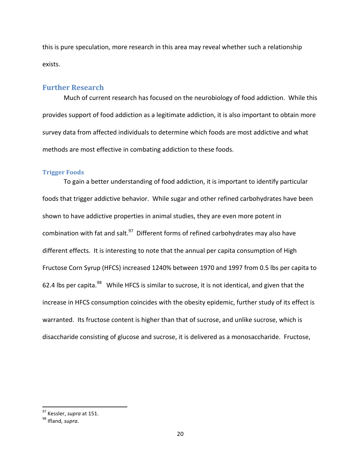this is pure speculation, more research in this area may reveal whether such a relationship exists.

## **Further!Research**

Much of current research has focused on the neurobiology of food addiction. While this provides support of food addiction as a legitimate addiction, it is also important to obtain more survey data from affected individuals to determine which foods are most addictive and what methods are most effective in combating addiction to these foods.

## **Trigger Foods**

To gain a better understanding of food addiction, it is important to identify particular foods that trigger addictive behavior. While sugar and other refined carbohydrates have been shown to have addictive properties in animal studies, they are even more potent in combination with fat and salt. $97$  Different forms of refined carbohydrates may also have different effects. It is interesting to note that the annual per capita consumption of High Fructose Corn Syrup (HFCS) increased 1240% between 1970 and 1997 from 0.5 lbs per capita to 62.4 lbs per capita.<sup>98</sup> While HFCS is similar to sucrose, it is not identical, and given that the increase in HFCS consumption coincides with the obesity epidemic, further study of its effect is warranted. Its fructose content is higher than that of sucrose, and unlike sucrose, which is disaccharide consisting of glucose and sucrose, it is delivered as a monosaccharide. Fructose,

<sup>&</sup>lt;sup>97</sup> Kessler, *supra* at 151.<br><sup>98</sup> Ifland, *supra*.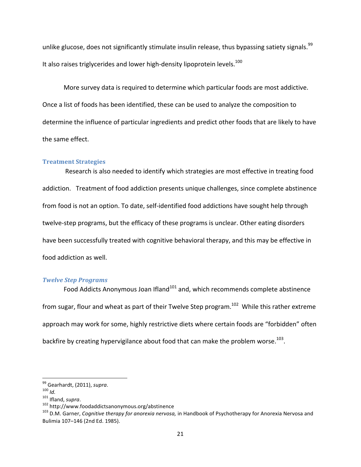unlike glucose, does not significantly stimulate insulin release, thus bypassing satiety signals.<sup>99</sup> It also raises triglycerides and lower high-density lipoprotein levels. $100$ 

More survey data is required to determine which particular foods are most addictive. Once a list of foods has been identified, these can be used to analyze the composition to determine the influence of particular ingredients and predict other foods that are likely to have the same effect.

## **Treatment!Strategies**

Research is also needed to identify which strategies are most effective in treating food addiction. Treatment of food addiction presents unique challenges, since complete abstinence from food is not an option. To date, self-identified food addictions have sought help through twelve-step programs, but the efficacy of these programs is unclear. Other eating disorders have been successfully treated with cognitive behavioral therapy, and this may be effective in food addiction as well.

### *Twelve&Step&Programs*

Food Addicts Anonymous Joan Ifland<sup>101</sup> and, which recommends complete abstinence from sugar, flour and wheat as part of their Twelve Step program.<sup>102</sup> While this rather extreme approach may work for some, highly restrictive diets where certain foods are "forbidden" often backfire by creating hypervigilance about food that can make the problem worse.<sup>103</sup>.

<sup>&</sup>lt;sup>99</sup> Gearhardt, (2011), *supra*.<br><sup>100</sup>*ld.*<br><sup>101</sup> Ifland, *supra*.<br><sup>102</sup> http://www.foodaddictsanonymous.org/abstinence<br><sup>103</sup> D.M. Garner, *Cognitive therapy for anorexia nervosa,* in Handbook of Psychotherapy for Anorexia Bulimia 107-146 (2nd Ed. 1985).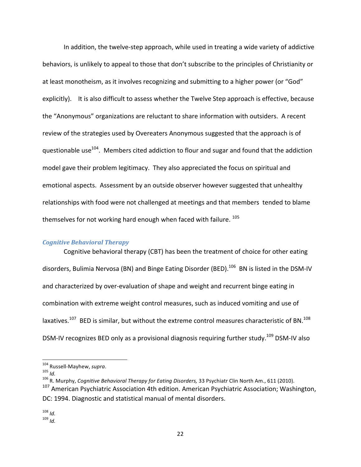In addition, the twelve-step approach, while used in treating a wide variety of addictive behaviors, is unlikely to appeal to those that don't subscribe to the principles of Christianity or at least monotheism, as it involves recognizing and submitting to a higher power (or "God" explicitly). It is also difficult to assess whether the Twelve Step approach is effective, because the "Anonymous" organizations are reluctant to share information with outsiders. A recent review of the strategies used by Overeaters Anonymous suggested that the approach is of questionable use<sup>104</sup>. Members cited addiction to flour and sugar and found that the addiction model gave their problem legitimacy. They also appreciated the focus on spiritual and emotional aspects. Assessment by an outside observer however suggested that unhealthy relationships with food were not challenged at meetings and that members tended to blame themselves for not working hard enough when faced with failure.  $105$ 

## *Cognitive Behavioral Therapy*

Cognitive behavioral therapy (CBT) has been the treatment of choice for other eating disorders, Bulimia Nervosa (BN) and Binge Eating Disorder (BED).<sup>106</sup> BN is listed in the DSM-IV and characterized by over-evaluation of shape and weight and recurrent binge eating in combination with extreme weight control measures, such as induced vomiting and use of laxatives.<sup>107</sup> BED is similar, but without the extreme control measures characteristic of BN.<sup>108</sup> DSM-IV recognizes BED only as a provisional diagnosis requiring further study.<sup>109</sup> DSM-IV also

<sup>&</sup>lt;sup>104</sup> Russell-Mayhew, *supra.*<br><sup>105</sup> *Id.*<br><sup>106</sup> R. Murphy, *Cognitive Behavioral Therapy for Eating Disorders,* 33 Psychiatr Clin North Am., 611 (2010).

 $107$  American Psychiatric Association 4th edition. American Psychiatric Association; Washington, DC: 1994. Diagnostic and statistical manual of mental disorders.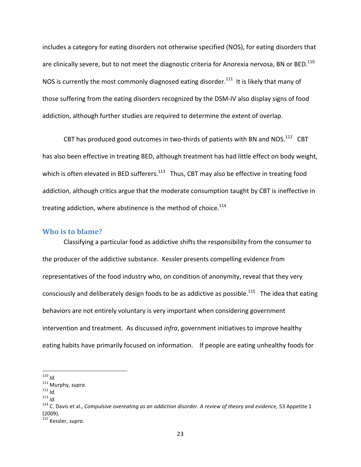includes a category for eating disorders not otherwise specified (NOS), for eating disorders that are clinically severe, but to not meet the diagnostic criteria for Anorexia nervosa, BN or BED.<sup>110</sup> NOS is currently the most commonly diagnosed eating disorder.<sup>111</sup> It is likely that many of those suffering from the eating disorders recognized by the DSM-IV also display signs of food addiction, although further studies are required to determine the extent of overlap.

CBT has produced good outcomes in two-thirds of patients with BN and NOS.<sup>112</sup> CBT has also been effective in treating BED, although treatment has had little effect on body weight, which is often elevated in BED sufferers.<sup>113</sup> Thus, CBT may also be effective in treating food addiction, although critics argue that the moderate consumption taught by CBT is ineffective in treating addiction, where abstinence is the method of choice. $114$ 

## **Who is to blame?**

Classifying a particular food as addictive shifts the responsibility from the consumer to the producer of the addictive substance. Kessler presents compelling evidence from representatives of the food industry who, on condition of anonymity, reveal that they very consciously and deliberately design foods to be as addictive as possible.<sup>115</sup> The idea that eating behaviors are not entirely voluntary is very important when considering government intervention and treatment. As discussed *infra*, government initiatives to improve healthy eating habits have primarily focused on information. If people are eating unhealthy foods for

<sup>!!!!!!!!!!!!!!!!!!!!!!!!!!!!!!!!!!!!!!!!!!!!!!!!!!!!!!!!!!!!</sup>

<sup>110</sup> *Id.*<br><sup>111</sup> Murphy, *supra.*<br><sup>113</sup> *Id.* 113 <sup>113</sup> *Id.* 114 C. Davis et al., *Compulsive overeating as an addiction disorder. A review of theory and evidence, 53 Appetite 1* (2009).

<sup>115</sup> Kessler,!*supra.*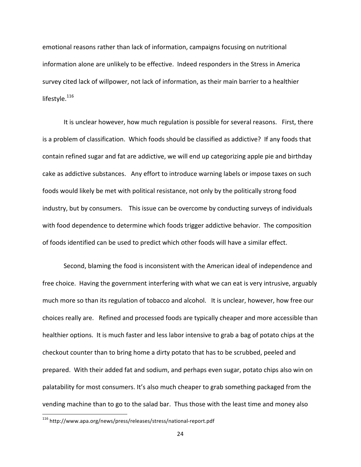emotional reasons rather than lack of information, campaigns focusing on nutritional information alone are unlikely to be effective. Indeed responders in the Stress in America survey cited lack of willpower, not lack of information, as their main barrier to a healthier lifestyle.<sup>116</sup>

It is unclear however, how much regulation is possible for several reasons. First, there is a problem of classification. Which foods should be classified as addictive? If any foods that contain refined sugar and fat are addictive, we will end up categorizing apple pie and birthday cake as addictive substances. Any effort to introduce warning labels or impose taxes on such foods would likely be met with political resistance, not only by the politically strong food industry, but by consumers. This issue can be overcome by conducting surveys of individuals with food dependence to determine which foods trigger addictive behavior. The composition of foods identified can be used to predict which other foods will have a similar effect.

Second, blaming the food is inconsistent with the American ideal of independence and free choice. Having the government interfering with what we can eat is very intrusive, arguably much more so than its regulation of tobacco and alcohol. It is unclear, however, how free our choices really are. Refined and processed foods are typically cheaper and more accessible than healthier options. It is much faster and less labor intensive to grab a bag of potato chips at the checkout counter than to bring home a dirty potato that has to be scrubbed, peeled and prepared. With their added fat and sodium, and perhaps even sugar, potato chips also win on palatability for most consumers. It's also much cheaper to grab something packaged from the vending machine than to go to the salad bar. Thus those with the least time and money also

<sup>&</sup>lt;sup>116</sup> http://www.apa.org/news/press/releases/stress/national-report.pdf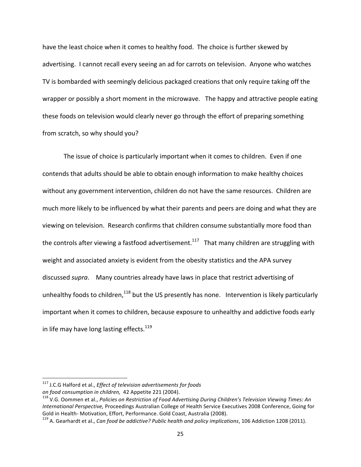have the least choice when it comes to healthy food. The choice is further skewed by advertising. I cannot recall every seeing an ad for carrots on television. Anyone who watches TV is bombarded with seemingly delicious packaged creations that only require taking off the wrapper or possibly a short moment in the microwave. The happy and attractive people eating these foods on television would clearly never go through the effort of preparing something from scratch, so why should you?

The issue of choice is particularly important when it comes to children. Even if one contends that adults should be able to obtain enough information to make healthy choices without any government intervention, children do not have the same resources. Children are much more likely to be influenced by what their parents and peers are doing and what they are viewing on television. Research confirms that children consume substantially more food than the controls after viewing a fastfood advertisement.<sup>117</sup> That many children are struggling with weight and associated anxiety is evident from the obesity statistics and the APA survey discussed *supra*. Many countries already have laws in place that restrict advertising of unhealthy foods to children,<sup>118</sup> but the US presently has none. Intervention is likely particularly important when it comes to children, because exposure to unhealthy and addictive foods early in life may have long lasting effects.<sup>119</sup>

<sup>&</sup>lt;sup>117</sup> J.C.G Halford et al., *Effect of television advertisements for foods* 

on food consumption in children, 42 Appetite 221 (2004). <sup>118</sup> V.G. Oommen viewing Times: An<br><sup>118</sup> V.G. Oommen et al., Policies on Restriction of Food Advertising During Children's Television Viewing Times: An *International Perspective, Proceedings Australian College of Health Service Executives 2008 Conference, Going for* Gold in Health- Motivation, Effort, Performance. Gold Coast, Australia (2008). 119 A. Gearhardt et al., *Can food be addictive? Public health and policy implications*, 106 Addiction 1208 (2011).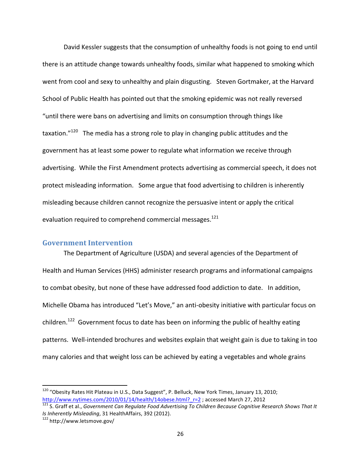David Kessler suggests that the consumption of unhealthy foods is not going to end until there is an attitude change towards unhealthy foods, similar what happened to smoking which went from cool and sexy to unhealthy and plain disgusting. Steven Gortmaker, at the Harvard School of Public Health has pointed out that the smoking epidemic was not really reversed "until there were bans on advertising and limits on consumption through things like taxation. $"^{120}$  The media has a strong role to play in changing public attitudes and the government has at least some power to regulate what information we receive through advertising. While the First Amendment protects advertising as commercial speech, it does not protect misleading information. Some argue that food advertising to children is inherently misleading because children cannot recognize the persuasive intent or apply the critical evaluation required to comprehend commercial messages.<sup>121</sup>

## **Government Intervention**

The Department of Agriculture (USDA) and several agencies of the Department of Health and Human Services (HHS) administer research programs and informational campaigns to combat obesity, but none of these have addressed food addiction to date. In addition, Michelle Obama has introduced "Let's Move," an anti-obesity initiative with particular focus on children.<sup>122</sup> Government focus to date has been on informing the public of healthy eating patterns. Well-intended brochures and websites explain that weight gain is due to taking in too many calories and that weight loss can be achieved by eating a vegetables and whole grains

<sup>&</sup>lt;sup>120</sup> "Obesity Rates Hit Plateau in U.S., Data Suggest", P. Belluck, New York Times, January 13, 2010; http://www.nytimes.com/2010/01/14/health/14obese.html?\_r=2 ; accessed March 27, 2012<br><sup>121</sup> S. Graff et al., *Government Can Regulate Food Advertising To Children Because Cognitive Research Shows That It* 

*Is Inherently Misleading*, 31 HealthAffairs, 392 (2012).<br><sup>122</sup> http://www.letsmove.gov/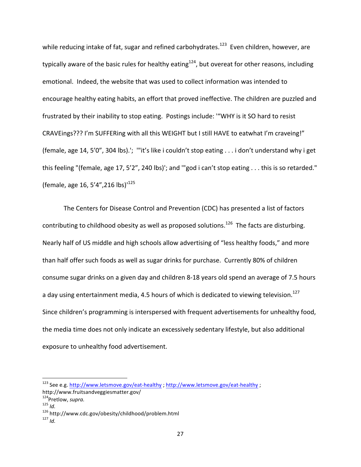while reducing intake of fat, sugar and refined carbohydrates.<sup>123</sup> Even children, however, are typically aware of the basic rules for healthy eating $124$ , but overeat for other reasons, including emotional. Indeed, the website that was used to collect information was intended to encourage healthy eating habits, an effort that proved ineffective. The children are puzzled and frustrated by their inability to stop eating. Postings include: "WHY is it SO hard to resist CRAVEings??? I'm SUFFERing with all this WEIGHT but I still HAVE to eatwhat I'm craveing!" (female, age 14, 5'0", 304 lbs).'; "'it's like i couldn't stop eating . . . i don't understand why i get this feeling "(female, age 17, 5'2", 240 lbs)'; and ""god i can't stop eating . . . this is so retarded." (female, age 16, 5'4",216 lbs)'<sup>125</sup>

The Centers for Disease Control and Prevention (CDC) has presented a list of factors contributing to childhood obesity as well as proposed solutions.<sup>126</sup> The facts are disturbing. Nearly half of US middle and high schools allow advertising of "less healthy foods," and more than half offer such foods as well as sugar drinks for purchase. Currently 80% of children consume sugar drinks on a given day and children 8-18 years old spend an average of 7.5 hours a day using entertainment media, 4.5 hours of which is dedicated to viewing television.<sup>127</sup> Since children's programming is interspersed with frequent advertisements for unhealthy food, the media time does not only indicate an excessively sedentary lifestyle, but also additional exposure to unhealthy food advertisement.

<sup>&</sup>lt;sup>123</sup> See e.g. http://www.letsmove.gov/eat-healthy ; http://www.letsmove.gov/eat-healthy ; http://www.fruitsandveggiesmatter.gov/<br><sup>124</sup>Pretlow, *supra.* 

<sup>125</sup> *Id.* 125 *Id.* 126 http://www.cdc.gov/obesity/childhood/problem.html 127 *Id*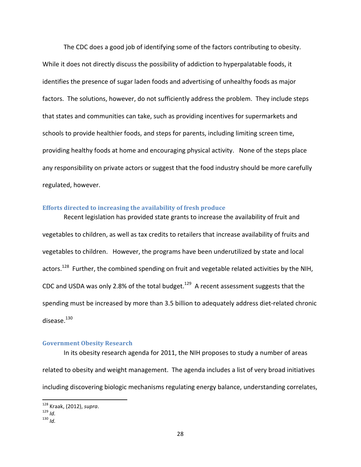The CDC does a good job of identifying some of the factors contributing to obesity. While it does not directly discuss the possibility of addiction to hyperpalatable foods, it identifies the presence of sugar laden foods and advertising of unhealthy foods as major factors. The solutions, however, do not sufficiently address the problem. They include steps that states and communities can take, such as providing incentives for supermarkets and schools to provide healthier foods, and steps for parents, including limiting screen time, providing healthy foods at home and encouraging physical activity. None of the steps place any responsibility on private actors or suggest that the food industry should be more carefully regulated, however.

## **Efforts directed to increasing the availability of fresh produce**

Recent legislation has provided state grants to increase the availability of fruit and vegetables to children, as well as tax credits to retailers that increase availability of fruits and vegetables to children. However, the programs have been underutilized by state and local actors.<sup>128</sup> Further, the combined spending on fruit and vegetable related activities by the NIH, CDC and USDA was only 2.8% of the total budget.<sup>129</sup> A recent assessment suggests that the spending must be increased by more than 3.5 billion to adequately address diet-related chronic disease.<sup>130</sup>

## **Government Obesity!Research**

!!!!!!!!!!!!!!!!!!!!!!!!!!!!!!!!!!!!!!!!!!!!!!!!!!!!!!!!!!!!

In its obesity research agenda for 2011, the NIH proposes to study a number of areas related to obesity and weight management. The agenda includes a list of very broad initiatives including discovering biologic mechanisms regulating energy balance, understanding correlates,

<sup>128</sup> Kraak,!(2012), *supra*. <sup>129</sup> *Id.* <sup>130</sup> *Id.*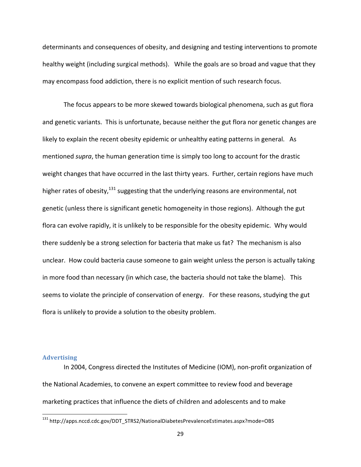determinants and consequences of obesity, and designing and testing interventions to promote healthy weight (including surgical methods). While the goals are so broad and vague that they may encompass food addiction, there is no explicit mention of such research focus.

The focus appears to be more skewed towards biological phenomena, such as gut flora and genetic variants. This is unfortunate, because neither the gut flora nor genetic changes are likely to explain the recent obesity epidemic or unhealthy eating patterns in general. As mentioned *supra*, the human generation time is simply too long to account for the drastic weight changes that have occurred in the last thirty years. Further, certain regions have much higher rates of obesity, $131$  suggesting that the underlying reasons are environmental, not genetic (unless there is significant genetic homogeneity in those regions). Although the gut flora can evolve rapidly, it is unlikely to be responsible for the obesity epidemic. Why would there suddenly be a strong selection for bacteria that make us fat? The mechanism is also unclear. How could bacteria cause someone to gain weight unless the person is actually taking in more food than necessary (in which case, the bacteria should not take the blame). This seems to violate the principle of conservation of energy. For these reasons, studying the gut flora is unlikely to provide a solution to the obesity problem.

#### **Advertising**

!!!!!!!!!!!!!!!!!!!!!!!!!!!!!!!!!!!!!!!!!!!!!!!!!!!!!!!!!!!!

In 2004, Congress directed the Institutes of Medicine (IOM), non-profit organization of the National Academies, to convene an expert committee to review food and beverage marketing practices that influence the diets of children and adolescents and to make

<sup>&</sup>lt;sup>131</sup> http://apps.nccd.cdc.gov/DDT\_STRS2/NationalDiabetesPrevalenceEstimates.aspx?mode=OBS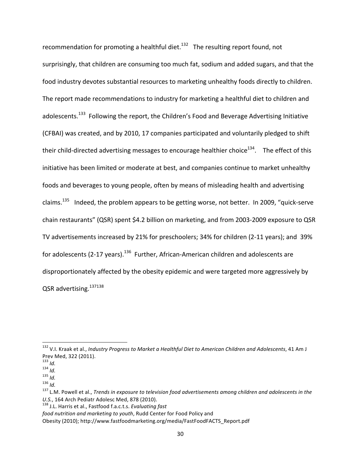recommendation for promoting a healthful diet. $132$  The resulting report found, not surprisingly, that children are consuming too much fat, sodium and added sugars, and that the food industry devotes substantial resources to marketing unhealthy foods directly to children. The report made recommendations to industry for marketing a healthful diet to children and adolescents.<sup>133</sup> Following the report, the Children's Food and Beverage Advertising Initiative (CFBAI) was created, and by 2010, 17 companies participated and voluntarily pledged to shift their child-directed advertising messages to encourage healthier choice<sup>134</sup>. The effect of this initiative has been limited or moderate at best, and companies continue to market unhealthy foods and beverages to young people, often by means of misleading health and advertising claims.<sup>135</sup> Indeed, the problem appears to be getting worse, not better. In 2009, "quick-serve chain restaurants" (QSR) spent \$4.2 billion on marketing, and from 2003-2009 exposure to QSR TV advertisements increased by 21% for preschoolers; 34% for children (2-11 years); and 39% for adolescents (2-17 years).<sup>136</sup> Further, African-American children and adolescents are disproportionately affected by the obesity epidemic and were targeted more aggressively by QSR advertising.<sup>137138</sup>

<sup>132</sup> V.I. Kraak et al., *Industry Progress to Market a Healthful Diet to American Children and Adolescents*, 41 Am J Prev Med, 322 (2011).<br><sup>133</sup> Id.

<sup>134</sup> *Id.*<br><sup>134</sup> *Id.*<br><sup>136</sup> *Id.* 135 <sup>1</sup> Id.<br><sup>136</sup> L.M. Powell et al., *Trends in exposure to television food advertisements among children and adolescents in the U.S.*, 164 Arch Pediatr Adolesc Med, 878 (2010). <sup>138</sup> J.L. Harris et al., Fastfood f.a.c.t.s. *Evaluating fast* 

*food nutrition and marketing to youth*, Rudd Center for Food Policy and

Obesity (2010); http://www.fastfoodmarketing.org/media/FastFoodFACTS\_Report.pdf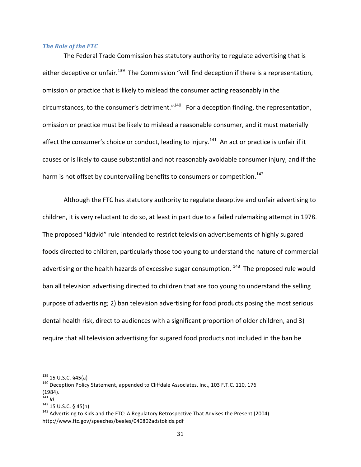#### *The Role of the FTC*

The Federal Trade Commission has statutory authority to regulate advertising that is either deceptive or unfair.<sup>139</sup> The Commission "will find deception if there is a representation, omission or practice that is likely to mislead the consumer acting reasonably in the circumstances, to the consumer's detriment." $140$  For a deception finding, the representation, omission or practice must be likely to mislead a reasonable consumer, and it must materially affect the consumer's choice or conduct, leading to injury.<sup>141</sup> An act or practice is unfair if it causes or is likely to cause substantial and not reasonably avoidable consumer injury, and if the harm is not offset by countervailing benefits to consumers or competition.<sup>142</sup>

Although the FTC has statutory authority to regulate deceptive and unfair advertising to children, it is very reluctant to do so, at least in part due to a failed rulemaking attempt in 1978. The proposed "kidvid" rule intended to restrict television advertisements of highly sugared foods directed to children, particularly those too young to understand the nature of commercial advertising or the health hazards of excessive sugar consumption.  $143$  The proposed rule would ban all television advertising directed to children that are too young to understand the selling purpose of advertising; 2) ban television advertising for food products posing the most serious dental health risk, direct to audiences with a significant proportion of older children, and 3) require that all television advertising for sugared food products not included in the ban be

<sup>&</sup>lt;sup>139</sup> 15 U.S.C. §45(a)<br><sup>140</sup> Deception Policy Statement, appended to Cliffdale Associates, Inc., 103 F.T.C. 110, 176  $(1984)$ .<br> $141$   $1d$ .

<sup>&</sup>lt;sup>142</sup> 15 U.S.C. § 45(n)<br><sup>143</sup> Advertising to Kids and the FTC: A Regulatory Retrospective That Advises the Present (2004). http://www.ftc.gov/speeches/beales/040802adstokids.pdf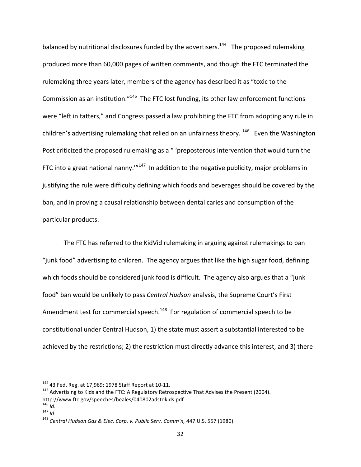balanced by nutritional disclosures funded by the advertisers.<sup>144</sup> The proposed rulemaking produced more than 60,000 pages of written comments, and though the FTC terminated the rulemaking three years later, members of the agency has described it as "toxic to the Commission as an institution."<sup>145</sup> The FTC lost funding, its other law enforcement functions were "left in tatters," and Congress passed a law prohibiting the FTC from adopting any rule in children's advertising rulemaking that relied on an unfairness theory.  $146$  Even the Washington Post criticized the proposed rulemaking as a " 'preposterous intervention that would turn the FTC into a great national nanny."<sup>147</sup> In addition to the negative publicity, major problems in justifying the rule were difficulty defining which foods and beverages should be covered by the ban, and in proving a causal relationship between dental caries and consumption of the particular products.

The FTC has referred to the KidVid rulemaking in arguing against rulemakings to ban "junk food" advertising to children. The agency argues that like the high sugar food, defining which foods should be considered junk food is difficult. The agency also argues that a "junk" food" ban would be unlikely to pass *Central Hudson* analysis, the Supreme Court's First Amendment test for commercial speech.<sup>148</sup> For regulation of commercial speech to be constitutional under Central Hudson, 1) the state must assert a substantial interested to be achieved by the restrictions; 2) the restriction must directly advance this interest, and 3) there

<sup>&</sup>lt;sup>144</sup> 43 Fed. Reg. at 17,969; 1978 Staff Report at 10-11.<br><sup>145</sup> Advertising to Kids and the FTC: A Regulatory Retrospective That Advises the Present (2004). http://www.ftc.gov/speeches/beales/040802adstokids.pdf<br><sup>146</sup> ld.<br><sup>147</sup> ld.

<sup>148</sup> *Central Hudson Gas & Elec. Corp. v. Public Serv. Comm'n, 447 U.S.* 557 (1980).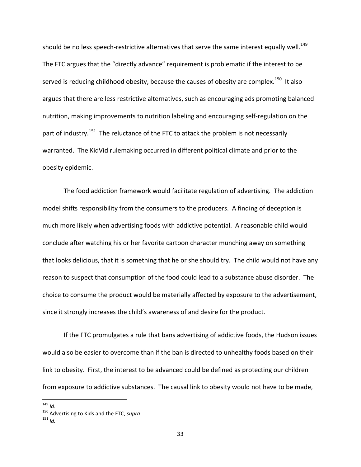should be no less speech-restrictive alternatives that serve the same interest equally well.<sup>149</sup> The FTC argues that the "directly advance" requirement is problematic if the interest to be served is reducing childhood obesity, because the causes of obesity are complex.<sup>150</sup> It also argues that there are less restrictive alternatives, such as encouraging ads promoting balanced nutrition, making improvements to nutrition labeling and encouraging self-regulation on the part of industry.<sup>151</sup> The reluctance of the FTC to attack the problem is not necessarily warranted. The KidVid rulemaking occurred in different political climate and prior to the obesity epidemic.

The food addiction framework would facilitate regulation of advertising. The addiction model shifts responsibility from the consumers to the producers. A finding of deception is much more likely when advertising foods with addictive potential. A reasonable child would conclude after watching his or her favorite cartoon character munching away on something that looks delicious, that it is something that he or she should try. The child would not have any reason to suspect that consumption of the food could lead to a substance abuse disorder. The choice to consume the product would be materially affected by exposure to the advertisement, since it strongly increases the child's awareness of and desire for the product.

If the FTC promulgates a rule that bans advertising of addictive foods, the Hudson issues would also be easier to overcome than if the ban is directed to unhealthy foods based on their link to obesity. First, the interest to be advanced could be defined as protecting our children from exposure to addictive substances. The causal link to obesity would not have to be made,

<sup>149</sup> *Id.*<br><sup>150</sup> Advertising to Kids and the FTC, *supra*.<br><sup>151</sup> *Id*.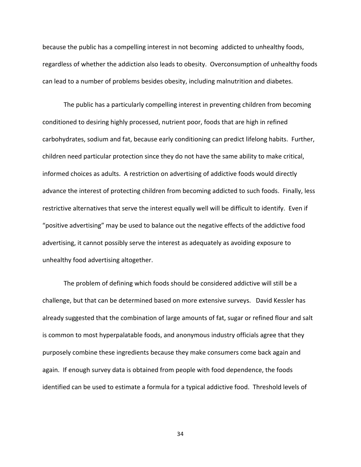because the public has a compelling interest in not becoming addicted to unhealthy foods, regardless of whether the addiction also leads to obesity. Overconsumption of unhealthy foods can lead to a number of problems besides obesity, including malnutrition and diabetes.

The public has a particularly compelling interest in preventing children from becoming conditioned to desiring highly processed, nutrient poor, foods that are high in refined carbohydrates, sodium and fat, because early conditioning can predict lifelong habits. Further, children need particular protection since they do not have the same ability to make critical, informed choices as adults. A restriction on advertising of addictive foods would directly advance the interest of protecting children from becoming addicted to such foods. Finally, less restrictive alternatives that serve the interest equally well will be difficult to identify. Even if "positive advertising" may be used to balance out the negative effects of the addictive food advertising, it cannot possibly serve the interest as adequately as avoiding exposure to unhealthy food advertising altogether.

The problem of defining which foods should be considered addictive will still be a challenge, but that can be determined based on more extensive surveys. David Kessler has already suggested that the combination of large amounts of fat, sugar or refined flour and salt is common to most hyperpalatable foods, and anonymous industry officials agree that they purposely combine these ingredients because they make consumers come back again and again. If enough survey data is obtained from people with food dependence, the foods identified can be used to estimate a formula for a typical addictive food. Threshold levels of

34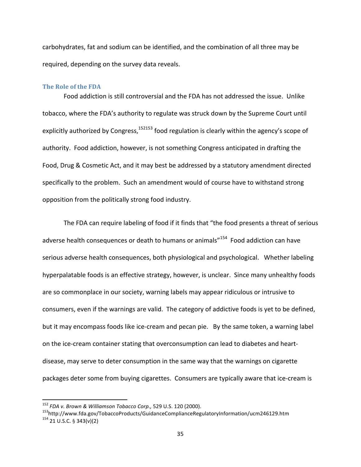carbohydrates, fat and sodium can be identified, and the combination of all three may be required, depending on the survey data reveals.

#### **The Role of the FDA**

Food addiction is still controversial and the FDA has not addressed the issue. Unlike tobacco, where the FDA's authority to regulate was struck down by the Supreme Court until explicitly authorized by Congress, $152153$  food regulation is clearly within the agency's scope of authority. Food addiction, however, is not something Congress anticipated in drafting the Food, Drug & Cosmetic Act, and it may best be addressed by a statutory amendment directed specifically to the problem. Such an amendment would of course have to withstand strong opposition from the politically strong food industry.

The FDA can require labeling of food if it finds that "the food presents a threat of serious adverse health consequences or death to humans or animals"<sup>154</sup> Food addiction can have serious adverse health consequences, both physiological and psychological. Whether labeling hyperpalatable foods is an effective strategy, however, is unclear. Since many unhealthy foods are so commonplace in our society, warning labels may appear ridiculous or intrusive to consumers, even if the warnings are valid. The category of addictive foods is yet to be defined, but it may encompass foods like ice-cream and pecan pie. By the same token, a warning label on the ice-cream container stating that overconsumption can lead to diabetes and heartdisease, may serve to deter consumption in the same way that the warnings on cigarette packages deter some from buying cigarettes. Consumers are typically aware that ice-cream is

<sup>&</sup>lt;sup>152</sup> *FDA v. Brown & Williamson Tobacco Corp.,* 529 U.S. 120 (2000).<br><sup>153</sup>http://www.fda.gov/TobaccoProducts/GuidanceComplianceRegulatoryInformation/ucm246129.htm<br><sup>154</sup> 21 U.S.C. § 343(v)(2)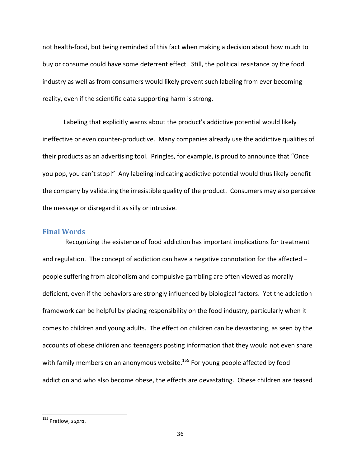not health-food, but being reminded of this fact when making a decision about how much to buy or consume could have some deterrent effect. Still, the political resistance by the food industry as well as from consumers would likely prevent such labeling from ever becoming reality, even if the scientific data supporting harm is strong.

Labeling that explicitly warns about the product's addictive potential would likely ineffective or even counter-productive. Many companies already use the addictive qualities of their products as an advertising tool. Pringles, for example, is proud to announce that "Once" you pop, you can't stop!" Any labeling indicating addictive potential would thus likely benefit the company by validating the irresistible quality of the product. Consumers may also perceive the message or disregard it as silly or intrusive.

## **Final!Words**

Recognizing the existence of food addiction has important implications for treatment and regulation. The concept of addiction can have a negative connotation for the affected  $$ people suffering from alcoholism and compulsive gambling are often viewed as morally deficient, even if the behaviors are strongly influenced by biological factors. Yet the addiction framework can be helpful by placing responsibility on the food industry, particularly when it comes to children and young adults. The effect on children can be devastating, as seen by the accounts of obese children and teenagers posting information that they would not even share with family members on an anonymous website.<sup>155</sup> For young people affected by food addiction and who also become obese, the effects are devastating. Obese children are teased

<sup>&</sup>lt;sup>155</sup> Pretlow, *supra*.